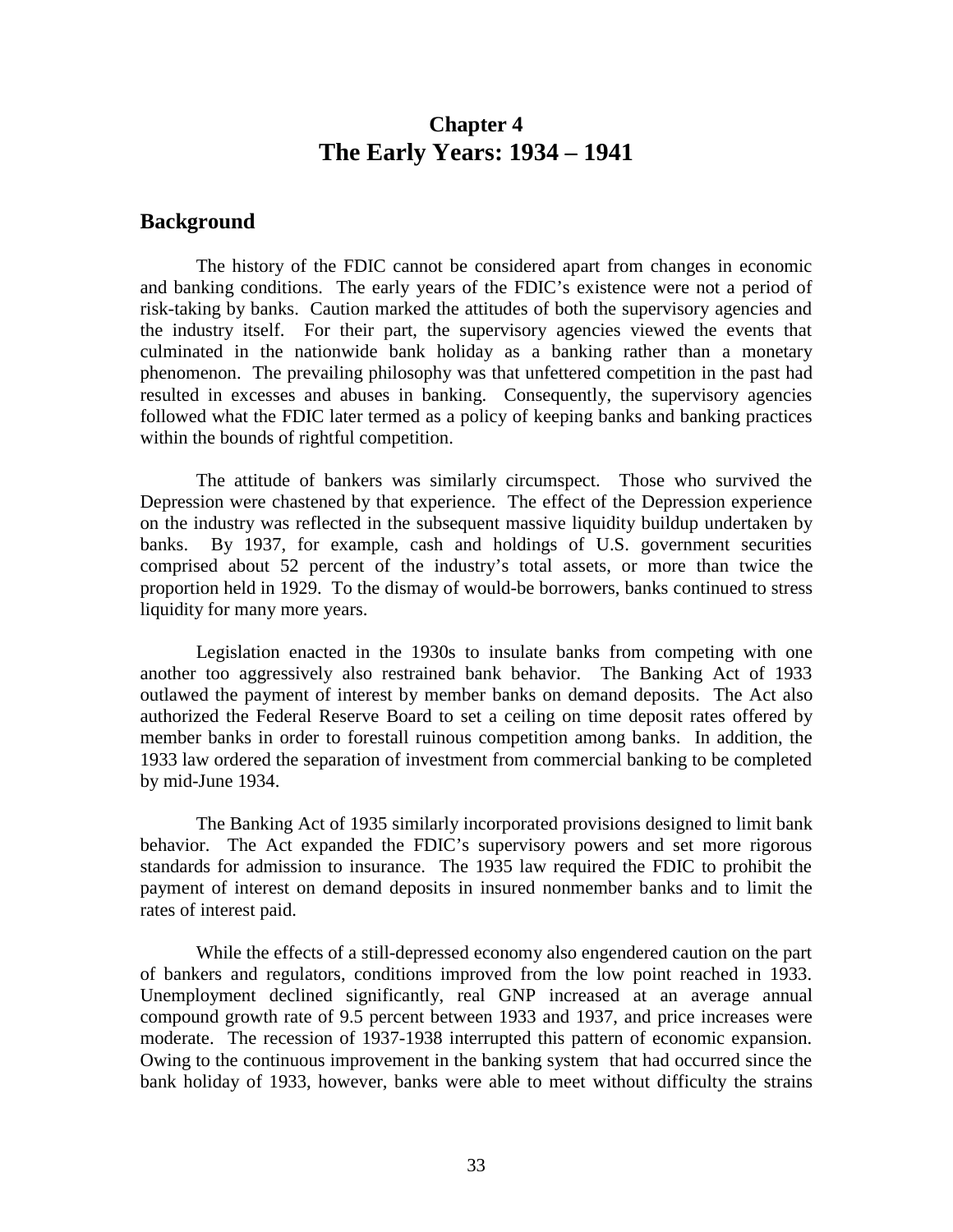# **Chapter 4 The Early Years: 1934 – 1941**

## **Background**

The history of the FDIC cannot be considered apart from changes in economic and banking conditions. The early years of the FDIC's existence were not a period of risk-taking by banks. Caution marked the attitudes of both the supervisory agencies and the industry itself. For their part, the supervisory agencies viewed the events that culminated in the nationwide bank holiday as a banking rather than a monetary phenomenon. The prevailing philosophy was that unfettered competition in the past had resulted in excesses and abuses in banking. Consequently, the supervisory agencies followed what the FDIC later termed as a policy of keeping banks and banking practices within the bounds of rightful competition.

The attitude of bankers was similarly circumspect. Those who survived the Depression were chastened by that experience. The effect of the Depression experience on the industry was reflected in the subsequent massive liquidity buildup undertaken by banks. By 1937, for example, cash and holdings of U.S. government securities comprised about 52 percent of the industry's total assets, or more than twice the proportion held in 1929. To the dismay of would-be borrowers, banks continued to stress liquidity for many more years.

Legislation enacted in the 1930s to insulate banks from competing with one another too aggressively also restrained bank behavior. The Banking Act of 1933 outlawed the payment of interest by member banks on demand deposits. The Act also authorized the Federal Reserve Board to set a ceiling on time deposit rates offered by member banks in order to forestall ruinous competition among banks. In addition, the 1933 law ordered the separation of investment from commercial banking to be completed by mid-June 1934.

The Banking Act of 1935 similarly incorporated provisions designed to limit bank behavior. The Act expanded the FDIC's supervisory powers and set more rigorous standards for admission to insurance. The 1935 law required the FDIC to prohibit the payment of interest on demand deposits in insured nonmember banks and to limit the rates of interest paid.

While the effects of a still-depressed economy also engendered caution on the part of bankers and regulators, conditions improved from the low point reached in 1933. Unemployment declined significantly, real GNP increased at an average annual compound growth rate of 9.5 percent between 1933 and 1937, and price increases were moderate. The recession of 1937-1938 interrupted this pattern of economic expansion. Owing to the continuous improvement in the banking system that had occurred since the bank holiday of 1933, however, banks were able to meet without difficulty the strains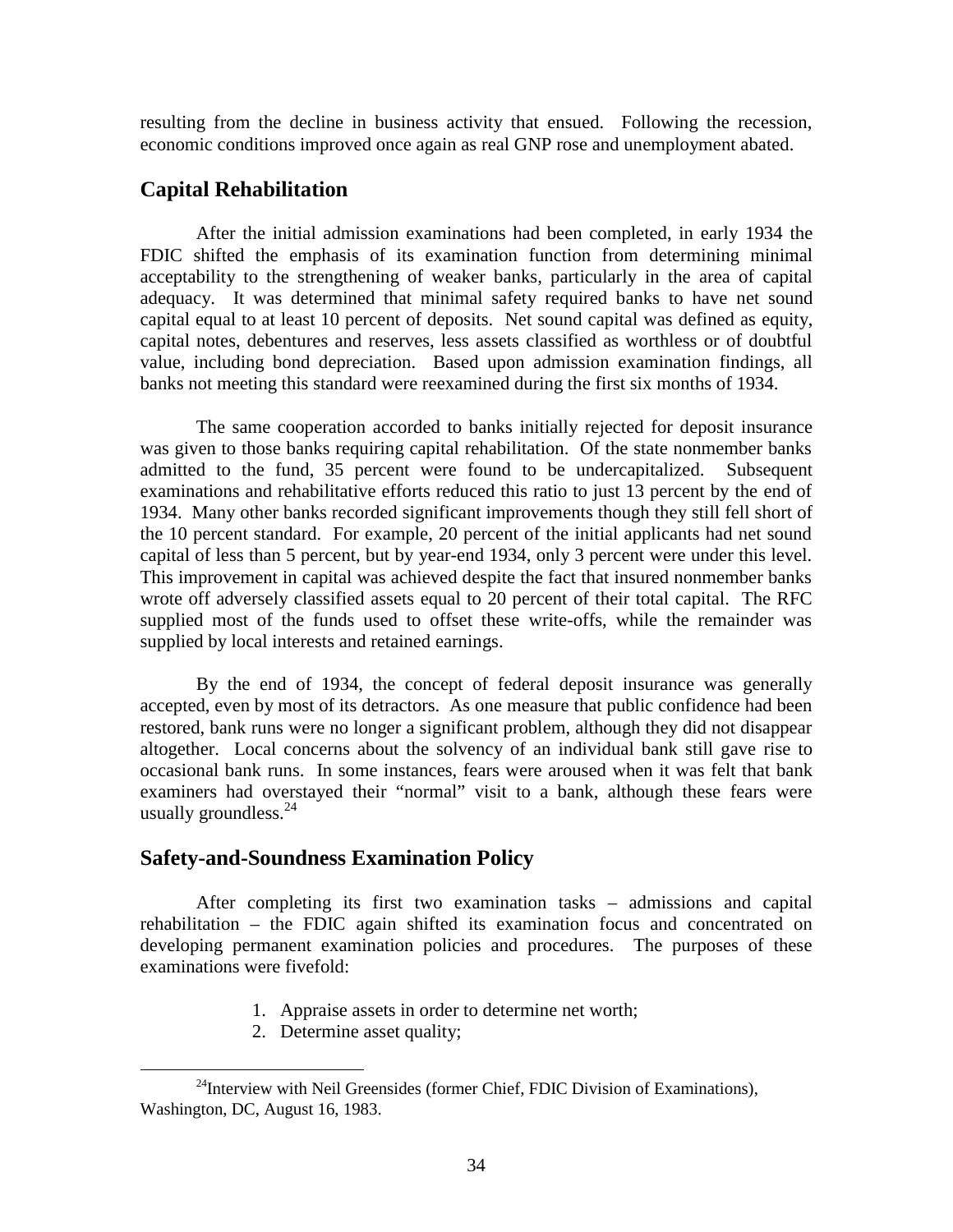resulting from the decline in business activity that ensued. Following the recession, economic conditions improved once again as real GNP rose and unemployment abated.

# **Capital Rehabilitation**

After the initial admission examinations had been completed, in early 1934 the FDIC shifted the emphasis of its examination function from determining minimal acceptability to the strengthening of weaker banks, particularly in the area of capital adequacy. It was determined that minimal safety required banks to have net sound capital equal to at least 10 percent of deposits. Net sound capital was defined as equity, capital notes, debentures and reserves, less assets classified as worthless or of doubtful value, including bond depreciation. Based upon admission examination findings, all banks not meeting this standard were reexamined during the first six months of 1934.

The same cooperation accorded to banks initially rejected for deposit insurance was given to those banks requiring capital rehabilitation. Of the state nonmember banks admitted to the fund, 35 percent were found to be undercapitalized. Subsequent examinations and rehabilitative efforts reduced this ratio to just 13 percent by the end of 1934. Many other banks recorded significant improvements though they still fell short of the 10 percent standard. For example, 20 percent of the initial applicants had net sound capital of less than 5 percent, but by year-end 1934, only 3 percent were under this level. This improvement in capital was achieved despite the fact that insured nonmember banks wrote off adversely classified assets equal to 20 percent of their total capital. The RFC supplied most of the funds used to offset these write-offs, while the remainder was supplied by local interests and retained earnings.

By the end of 1934, the concept of federal deposit insurance was generally accepted, even by most of its detractors. As one measure that public confidence had been restored, bank runs were no longer a significant problem, although they did not disappear altogether. Local concerns about the solvency of an individual bank still gave rise to occasional bank runs. In some instances, fears were aroused when it was felt that bank examiners had overstayed their "normal" visit to a bank, although these fears were usually groundless.  $24$ 

#### **Safety-and-Soundness Examination Policy**

After completing its first two examination tasks – admissions and capital rehabilitation – the FDIC again shifted its examination focus and concentrated on developing permanent examination policies and procedures. The purposes of these examinations were fivefold:

- 1. Appraise assets in order to determine net worth;
- 2. Determine asset quality;

<sup>&</sup>lt;sup>24</sup>Interview with Neil Greensides (former Chief, FDIC Division of Examinations), Washington, DC, August 16, 1983.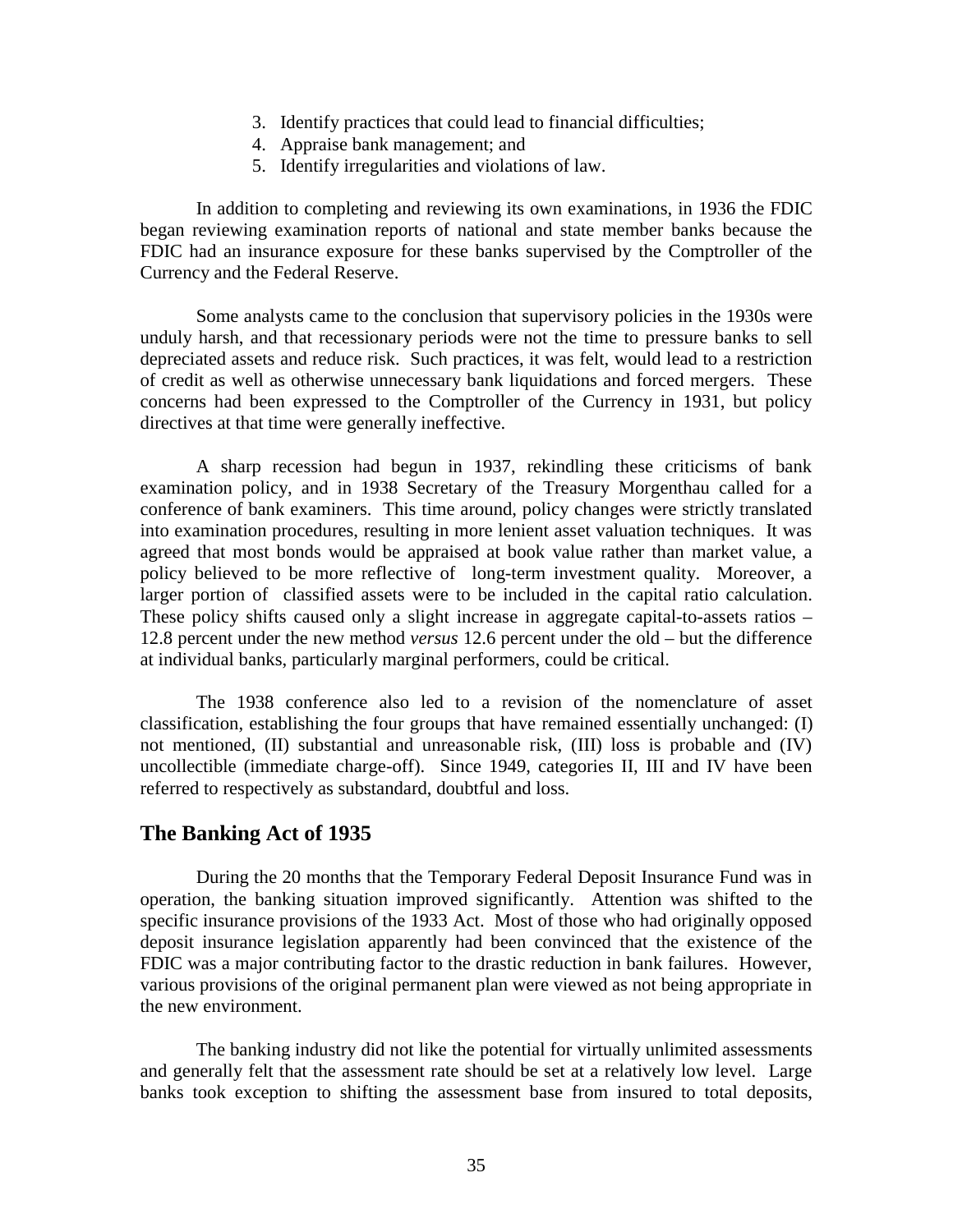- 3. Identify practices that could lead to financial difficulties;
- 4. Appraise bank management; and
- 5. Identify irregularities and violations of law.

In addition to completing and reviewing its own examinations, in 1936 the FDIC began reviewing examination reports of national and state member banks because the FDIC had an insurance exposure for these banks supervised by the Comptroller of the Currency and the Federal Reserve.

Some analysts came to the conclusion that supervisory policies in the 1930s were unduly harsh, and that recessionary periods were not the time to pressure banks to sell depreciated assets and reduce risk. Such practices, it was felt, would lead to a restriction of credit as well as otherwise unnecessary bank liquidations and forced mergers. These concerns had been expressed to the Comptroller of the Currency in 1931, but policy directives at that time were generally ineffective.

A sharp recession had begun in 1937, rekindling these criticisms of bank examination policy, and in 1938 Secretary of the Treasury Morgenthau called for a conference of bank examiners. This time around, policy changes were strictly translated into examination procedures, resulting in more lenient asset valuation techniques. It was agreed that most bonds would be appraised at book value rather than market value, a policy believed to be more reflective of long-term investment quality. Moreover, a larger portion of classified assets were to be included in the capital ratio calculation. These policy shifts caused only a slight increase in aggregate capital-to-assets ratios – 12.8 percent under the new method *versus* 12.6 percent under the old – but the difference at individual banks, particularly marginal performers, could be critical.

The 1938 conference also led to a revision of the nomenclature of asset classification, establishing the four groups that have remained essentially unchanged: (I) not mentioned, (II) substantial and unreasonable risk, (III) loss is probable and (IV) uncollectible (immediate charge-off). Since 1949, categories II, III and IV have been referred to respectively as substandard, doubtful and loss.

#### **The Banking Act of 1935**

During the 20 months that the Temporary Federal Deposit Insurance Fund was in operation, the banking situation improved significantly. Attention was shifted to the specific insurance provisions of the 1933 Act. Most of those who had originally opposed deposit insurance legislation apparently had been convinced that the existence of the FDIC was a major contributing factor to the drastic reduction in bank failures. However, various provisions of the original permanent plan were viewed as not being appropriate in the new environment.

The banking industry did not like the potential for virtually unlimited assessments and generally felt that the assessment rate should be set at a relatively low level. Large banks took exception to shifting the assessment base from insured to total deposits,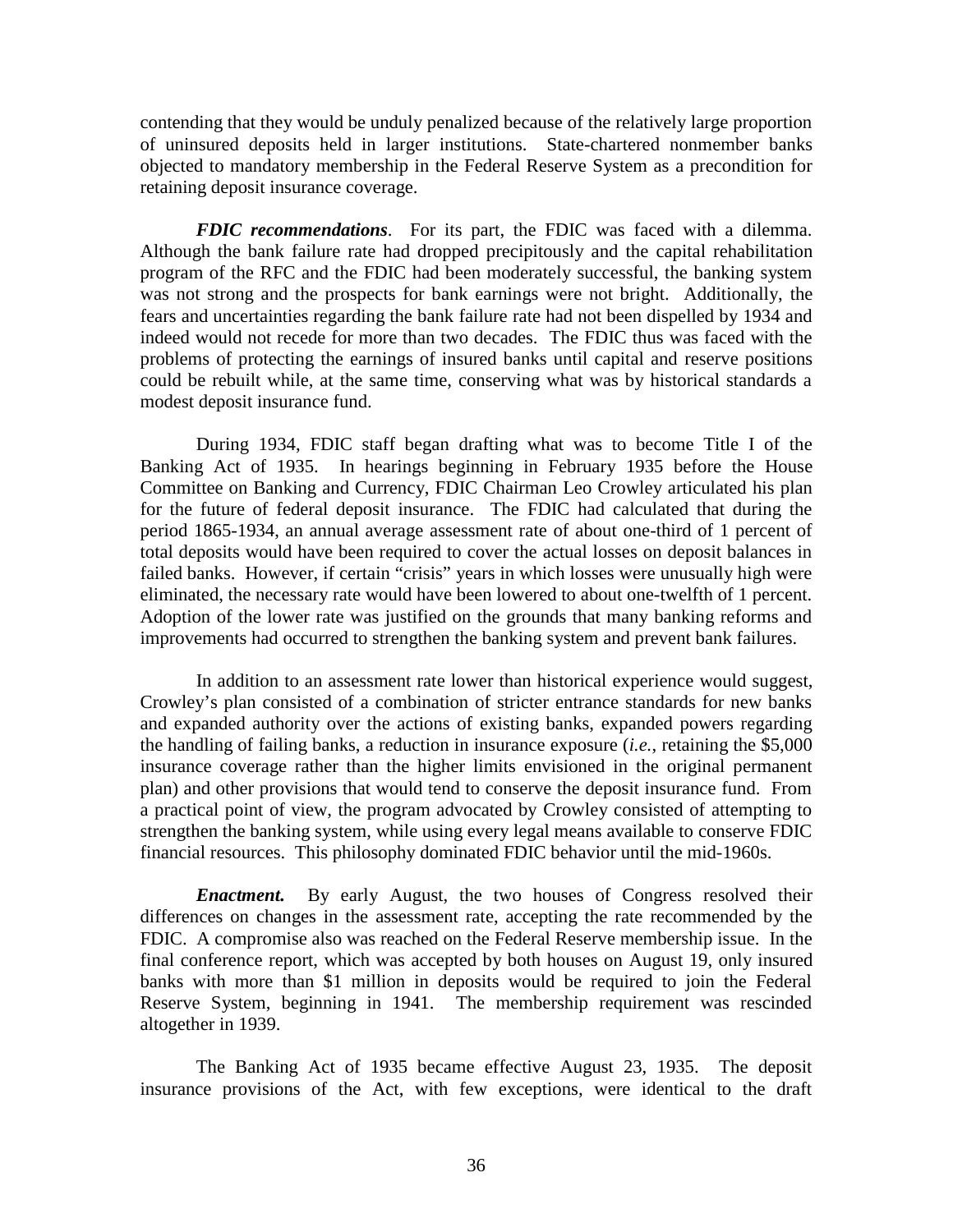contending that they would be unduly penalized because of the relatively large proportion of uninsured deposits held in larger institutions. State-chartered nonmember banks objected to mandatory membership in the Federal Reserve System as a precondition for retaining deposit insurance coverage.

*FDIC recommendations*. For its part, the FDIC was faced with a dilemma. Although the bank failure rate had dropped precipitously and the capital rehabilitation program of the RFC and the FDIC had been moderately successful, the banking system was not strong and the prospects for bank earnings were not bright. Additionally, the fears and uncertainties regarding the bank failure rate had not been dispelled by 1934 and indeed would not recede for more than two decades. The FDIC thus was faced with the problems of protecting the earnings of insured banks until capital and reserve positions could be rebuilt while, at the same time, conserving what was by historical standards a modest deposit insurance fund.

During 1934, FDIC staff began drafting what was to become Title I of the Banking Act of 1935. In hearings beginning in February 1935 before the House Committee on Banking and Currency, FDIC Chairman Leo Crowley articulated his plan for the future of federal deposit insurance. The FDIC had calculated that during the period 1865-1934, an annual average assessment rate of about one-third of 1 percent of total deposits would have been required to cover the actual losses on deposit balances in failed banks. However, if certain "crisis" years in which losses were unusually high were eliminated, the necessary rate would have been lowered to about one-twelfth of 1 percent. Adoption of the lower rate was justified on the grounds that many banking reforms and improvements had occurred to strengthen the banking system and prevent bank failures.

In addition to an assessment rate lower than historical experience would suggest, Crowley's plan consisted of a combination of stricter entrance standards for new banks and expanded authority over the actions of existing banks, expanded powers regarding the handling of failing banks, a reduction in insurance exposure (*i.e.*, retaining the \$5,000 insurance coverage rather than the higher limits envisioned in the original permanent plan) and other provisions that would tend to conserve the deposit insurance fund. From a practical point of view, the program advocated by Crowley consisted of attempting to strengthen the banking system, while using every legal means available to conserve FDIC financial resources. This philosophy dominated FDIC behavior until the mid-1960s.

*Enactment.* By early August, the two houses of Congress resolved their differences on changes in the assessment rate, accepting the rate recommended by the FDIC. A compromise also was reached on the Federal Reserve membership issue. In the final conference report, which was accepted by both houses on August 19, only insured banks with more than \$1 million in deposits would be required to join the Federal Reserve System, beginning in 1941. The membership requirement was rescinded altogether in 1939.

The Banking Act of 1935 became effective August 23, 1935. The deposit insurance provisions of the Act, with few exceptions, were identical to the draft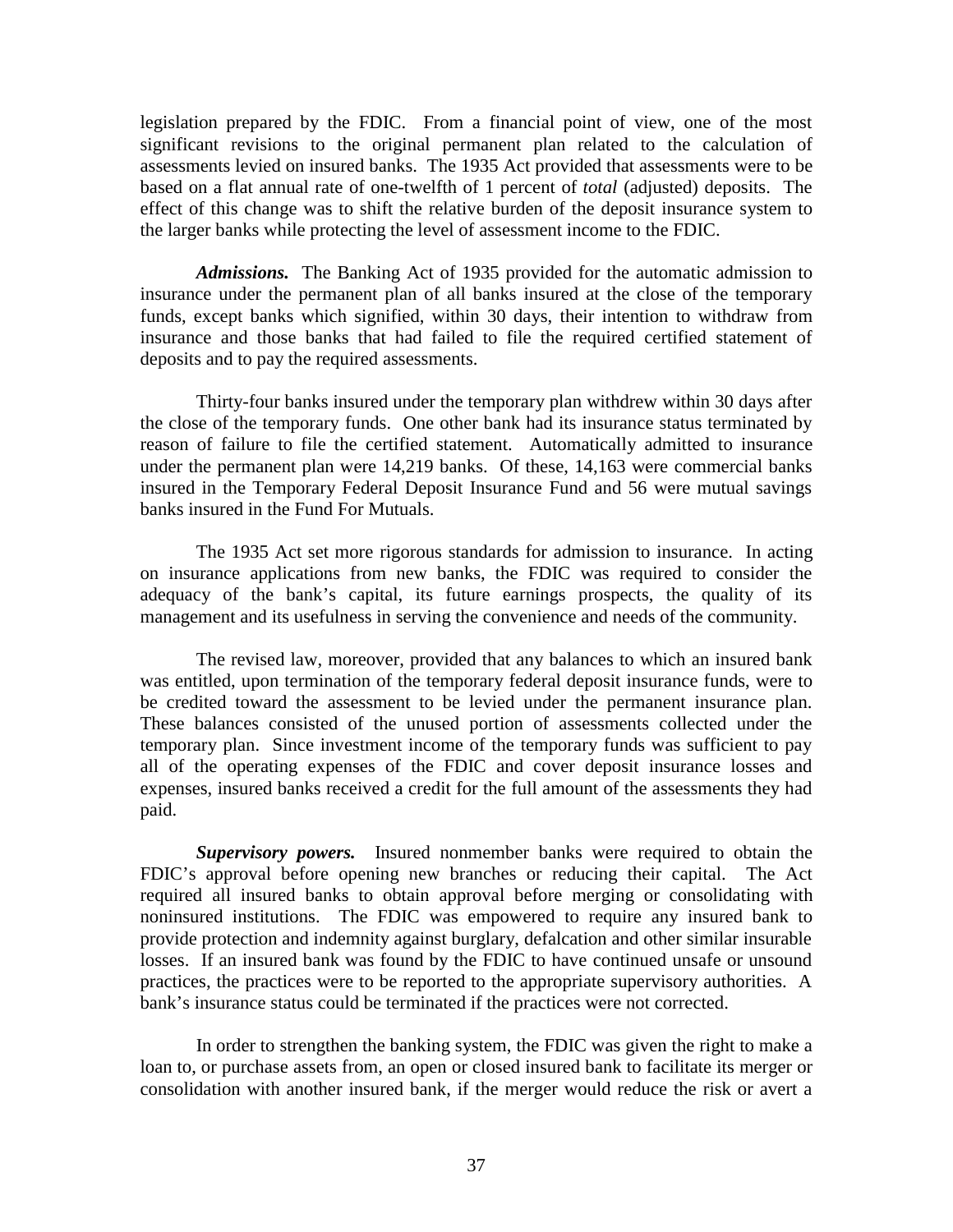legislation prepared by the FDIC. From a financial point of view, one of the most significant revisions to the original permanent plan related to the calculation of assessments levied on insured banks. The 1935 Act provided that assessments were to be based on a flat annual rate of one-twelfth of 1 percent of *total* (adjusted) deposits. The effect of this change was to shift the relative burden of the deposit insurance system to the larger banks while protecting the level of assessment income to the FDIC.

*Admissions.* The Banking Act of 1935 provided for the automatic admission to insurance under the permanent plan of all banks insured at the close of the temporary funds, except banks which signified, within 30 days, their intention to withdraw from insurance and those banks that had failed to file the required certified statement of deposits and to pay the required assessments.

Thirty-four banks insured under the temporary plan withdrew within 30 days after the close of the temporary funds. One other bank had its insurance status terminated by reason of failure to file the certified statement. Automatically admitted to insurance under the permanent plan were 14,219 banks. Of these, 14,163 were commercial banks insured in the Temporary Federal Deposit Insurance Fund and 56 were mutual savings banks insured in the Fund For Mutuals.

The 1935 Act set more rigorous standards for admission to insurance. In acting on insurance applications from new banks, the FDIC was required to consider the adequacy of the bank's capital, its future earnings prospects, the quality of its management and its usefulness in serving the convenience and needs of the community.

The revised law, moreover, provided that any balances to which an insured bank was entitled, upon termination of the temporary federal deposit insurance funds, were to be credited toward the assessment to be levied under the permanent insurance plan. These balances consisted of the unused portion of assessments collected under the temporary plan. Since investment income of the temporary funds was sufficient to pay all of the operating expenses of the FDIC and cover deposit insurance losses and expenses, insured banks received a credit for the full amount of the assessments they had paid.

*Supervisory powers.* Insured nonmember banks were required to obtain the FDIC's approval before opening new branches or reducing their capital. The Act required all insured banks to obtain approval before merging or consolidating with noninsured institutions. The FDIC was empowered to require any insured bank to provide protection and indemnity against burglary, defalcation and other similar insurable losses. If an insured bank was found by the FDIC to have continued unsafe or unsound practices, the practices were to be reported to the appropriate supervisory authorities. A bank's insurance status could be terminated if the practices were not corrected.

In order to strengthen the banking system, the FDIC was given the right to make a loan to, or purchase assets from, an open or closed insured bank to facilitate its merger or consolidation with another insured bank, if the merger would reduce the risk or avert a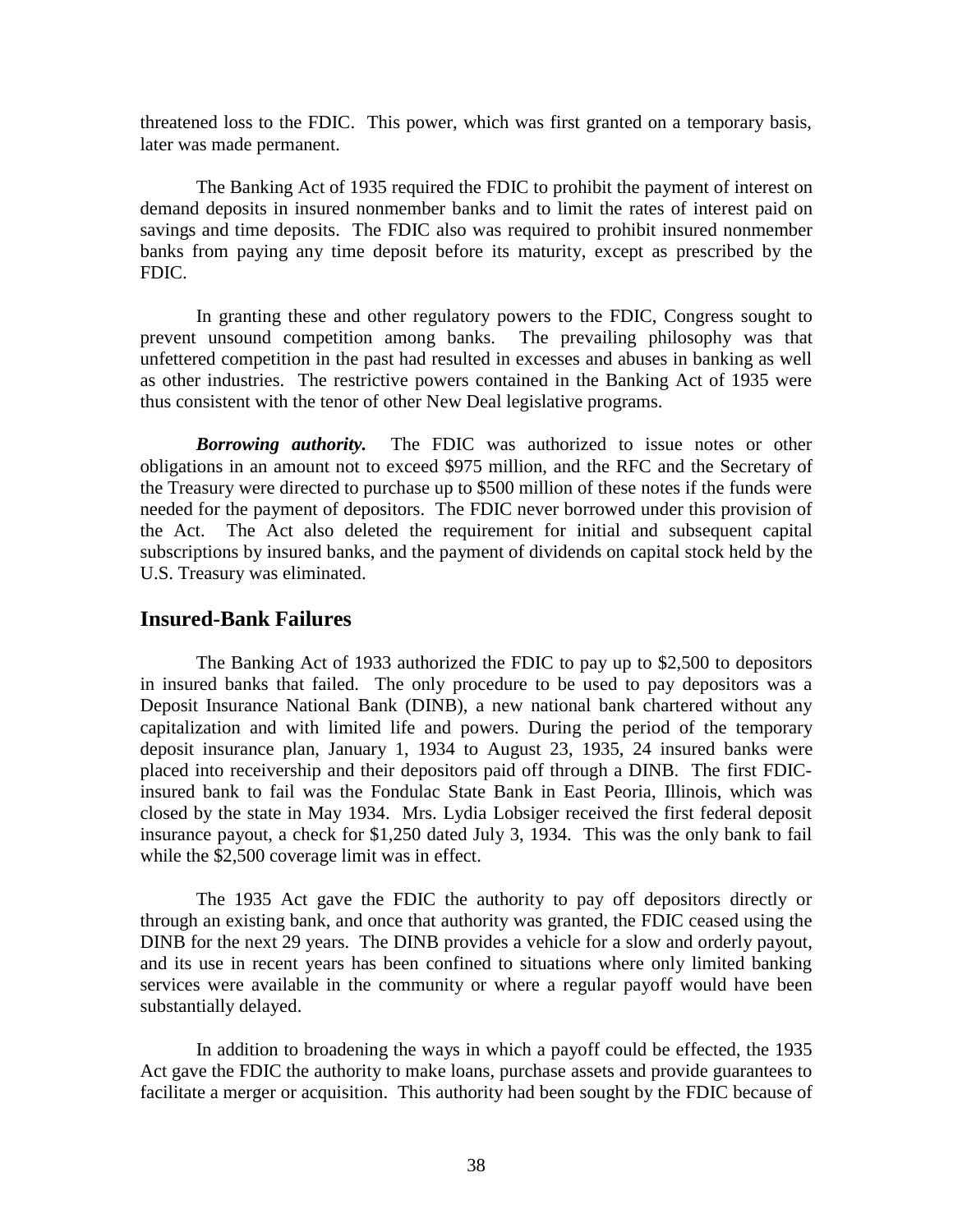threatened loss to the FDIC. This power, which was first granted on a temporary basis, later was made permanent.

The Banking Act of 1935 required the FDIC to prohibit the payment of interest on demand deposits in insured nonmember banks and to limit the rates of interest paid on savings and time deposits. The FDIC also was required to prohibit insured nonmember banks from paying any time deposit before its maturity, except as prescribed by the FDIC.

In granting these and other regulatory powers to the FDIC, Congress sought to prevent unsound competition among banks. The prevailing philosophy was that unfettered competition in the past had resulted in excesses and abuses in banking as well as other industries. The restrictive powers contained in the Banking Act of 1935 were thus consistent with the tenor of other New Deal legislative programs.

*Borrowing authority.* The FDIC was authorized to issue notes or other obligations in an amount not to exceed \$975 million, and the RFC and the Secretary of the Treasury were directed to purchase up to \$500 million of these notes if the funds were needed for the payment of depositors. The FDIC never borrowed under this provision of the Act. The Act also deleted the requirement for initial and subsequent capital subscriptions by insured banks, and the payment of dividends on capital stock held by the U.S. Treasury was eliminated.

## **Insured-Bank Failures**

The Banking Act of 1933 authorized the FDIC to pay up to \$2,500 to depositors in insured banks that failed. The only procedure to be used to pay depositors was a Deposit Insurance National Bank (DINB), a new national bank chartered without any capitalization and with limited life and powers. During the period of the temporary deposit insurance plan, January 1, 1934 to August 23, 1935, 24 insured banks were placed into receivership and their depositors paid off through a DINB. The first FDICinsured bank to fail was the Fondulac State Bank in East Peoria, Illinois, which was closed by the state in May 1934. Mrs. Lydia Lobsiger received the first federal deposit insurance payout, a check for \$1,250 dated July 3, 1934. This was the only bank to fail while the \$2,500 coverage limit was in effect.

The 1935 Act gave the FDIC the authority to pay off depositors directly or through an existing bank, and once that authority was granted, the FDIC ceased using the DINB for the next 29 years. The DINB provides a vehicle for a slow and orderly payout, and its use in recent years has been confined to situations where only limited banking services were available in the community or where a regular payoff would have been substantially delayed.

In addition to broadening the ways in which a payoff could be effected, the 1935 Act gave the FDIC the authority to make loans, purchase assets and provide guarantees to facilitate a merger or acquisition. This authority had been sought by the FDIC because of